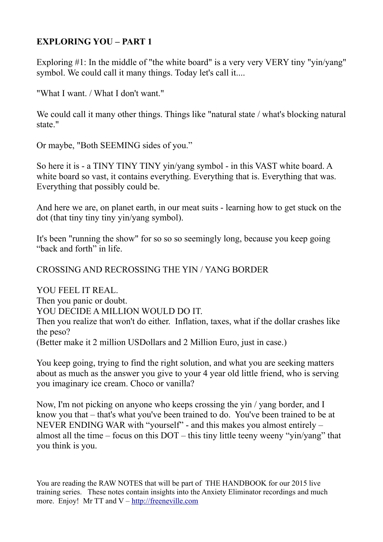# **EXPLORING YOU – PART 1**

Exploring #1: In the middle of "the white board" is a very very VERY tiny "vin/yang" symbol. We could call it many things. Today let's call it....

"What I want. / What I don't want."

We could call it many other things. Things like "natural state / what's blocking natural state."

Or maybe, "Both SEEMING sides of you."

So here it is - a TINY TINY TINY yin/yang symbol - in this VAST white board. A white board so vast, it contains everything. Everything that is. Everything that was. Everything that possibly could be.

And here we are, on planet earth, in our meat suits - learning how to get stuck on the dot (that tiny tiny tiny yin/yang symbol).

It's been "running the show" for so so so seemingly long, because you keep going "back and forth" in life.

## CROSSING AND RECROSSING THE YIN / YANG BORDER

YOU FEEL IT REAL. Then you panic or doubt. YOU DECIDE A MILLION WOULD DO IT. Then you realize that won't do either. Inflation, taxes, what if the dollar crashes like the peso? (Better make it 2 million USDollars and 2 Million Euro, just in case.)

You keep going, trying to find the right solution, and what you are seeking matters about as much as the answer you give to your 4 year old little friend, who is serving you imaginary ice cream. Choco or vanilla?

Now, I'm not picking on anyone who keeps crossing the yin / yang border, and I know you that – that's what you've been trained to do. You've been trained to be at NEVER ENDING WAR with "yourself" - and this makes you almost entirely – almost all the time – focus on this DOT – this tiny little teeny weeny "yin/yang" that you think is you.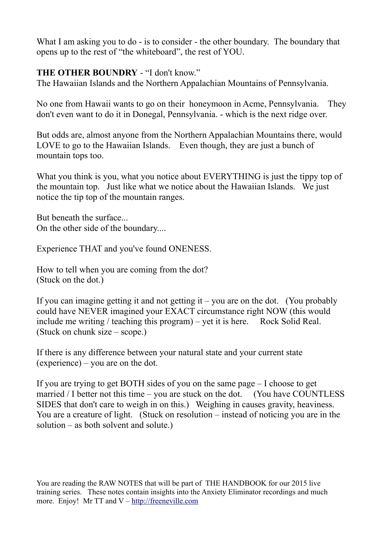What I am asking you to do - is to consider - the other boundary. The boundary that opens up to the rest of "the whiteboard", the rest of YOU.

## **THE OTHER BOUNDRY** - "I don't know."

The Hawaiian Islands and the Northern Appalachian Mountains of Pennsylvania.

No one from Hawaii wants to go on their honeymoon in Acme, Pennsylvania. They don't even want to do it in Donegal, Pennsylvania. - which is the next ridge over.

But odds are, almost anyone from the Northern Appalachian Mountains there, would LOVE to go to the Hawaiian Islands. Even though, they are just a bunch of mountain tops too.

What you think is you, what you notice about EVERYTHING is just the tippy top of the mountain top. Just like what we notice about the Hawaiian Islands. We just notice the tip top of the mountain ranges.

But beneath the surface... On the other side of the boundary....

Experience THAT and you've found ONENESS.

How to tell when you are coming from the dot? (Stuck on the dot.)

If you can imagine getting it and not getting it – you are on the dot. (You probably could have NEVER imagined your EXACT circumstance right NOW (this would include me writing / teaching this program) – yet it is here. Rock Solid Real. (Stuck on chunk size – scope.)

If there is any difference between your natural state and your current state (experience) – you are on the dot.

If you are trying to get BOTH sides of you on the same page – I choose to get married / I better not this time – you are stuck on the dot. (You have COUNTLESS SIDES that don't care to weigh in on this.) Weighing in causes gravity, heaviness. You are a creature of light. (Stuck on resolution – instead of noticing you are in the solution – as both solvent and solute.)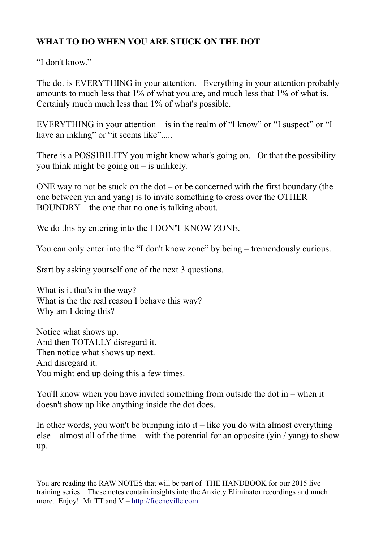# **WHAT TO DO WHEN YOU ARE STUCK ON THE DOT**

"I don't know"

The dot is EVERYTHING in your attention. Everything in your attention probably amounts to much less that 1% of what you are, and much less that 1% of what is. Certainly much much less than 1% of what's possible.

EVERYTHING in your attention – is in the realm of "I know" or "I suspect" or "I have an inkling" or "it seems like".....

There is a POSSIBILITY you might know what's going on. Or that the possibility you think might be going on – is unlikely.

ONE way to not be stuck on the dot – or be concerned with the first boundary (the one between yin and yang) is to invite something to cross over the OTHER BOUNDRY – the one that no one is talking about.

We do this by entering into the I DON'T KNOW ZONE.

You can only enter into the "I don't know zone" by being – tremendously curious.

Start by asking yourself one of the next 3 questions.

What is it that's in the way? What is the the real reason I behave this way? Why am I doing this?

Notice what shows up. And then TOTALLY disregard it. Then notice what shows up next. And disregard it. You might end up doing this a few times.

You'll know when you have invited something from outside the dot in – when it doesn't show up like anything inside the dot does.

In other words, you won't be bumping into it  $-$  like you do with almost everything else – almost all of the time – with the potential for an opposite (yin / yang) to show up.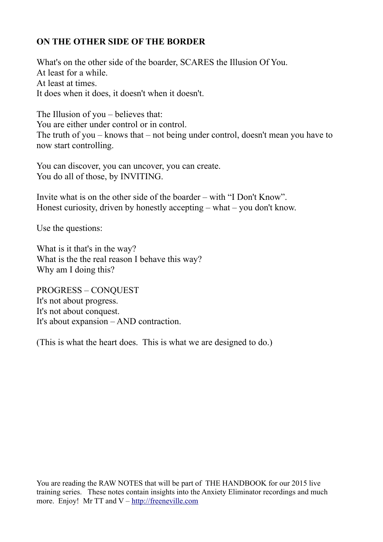# **ON THE OTHER SIDE OF THE BORDER**

What's on the other side of the boarder, SCARES the Illusion Of You. At least for a while. At least at times. It does when it does, it doesn't when it doesn't.

The Illusion of you – believes that: You are either under control or in control. The truth of you – knows that – not being under control, doesn't mean you have to now start controlling.

You can discover, you can uncover, you can create. You do all of those, by INVITING.

Invite what is on the other side of the boarder – with "I Don't Know". Honest curiosity, driven by honestly accepting – what – you don't know.

Use the questions:

What is it that's in the way? What is the the real reason I behave this way? Why am I doing this?

PROGRESS – CONQUEST It's not about progress. It's not about conquest. It's about expansion – AND contraction.

(This is what the heart does. This is what we are designed to do.)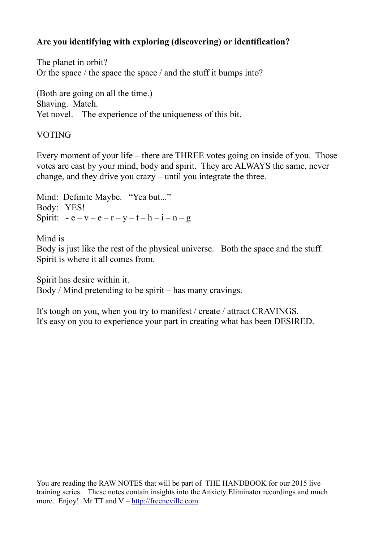# **Are you identifying with exploring (discovering) or identification?**

The planet in orbit? Or the space / the space the space / and the stuff it bumps into?

(Both are going on all the time.) Shaving. Match. Yet novel. The experience of the uniqueness of this bit.

### VOTING

Every moment of your life – there are THREE votes going on inside of you. Those votes are cast by your mind, body and spirit. They are ALWAYS the same, never change, and they drive you crazy – until you integrate the three.

Mind: Definite Maybe. "Yea but..." Body: YES! Spirit:  $-e - v - e - r - v - t - h - i - n - g$ 

Mind is Body is just like the rest of the physical universe. Both the space and the stuff. Spirit is where it all comes from.

Spirit has desire within it. Body / Mind pretending to be spirit – has many cravings.

It's tough on you, when you try to manifest / create / attract CRAVINGS. It's easy on you to experience your part in creating what has been DESIRED.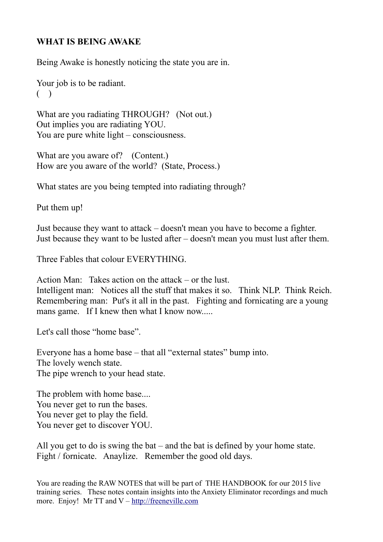## **WHAT IS BEING AWAKE**

Being Awake is honestly noticing the state you are in.

Your job is to be radiant.  $($ )

What are you radiating THROUGH? (Not out.) Out implies you are radiating YOU. You are pure white light – consciousness.

What are you aware of? (Content.) How are you aware of the world? (State, Process.)

What states are you being tempted into radiating through?

Put them up!

Just because they want to attack – doesn't mean you have to become a fighter. Just because they want to be lusted after – doesn't mean you must lust after them.

Three Fables that colour EVERYTHING.

Action Man: Takes action on the attack – or the lust. Intelligent man: Notices all the stuff that makes it so. Think NLP. Think Reich. Remembering man: Put's it all in the past. Fighting and fornicating are a young mans game. If I knew then what I know now.....

Let's call those "home base".

Everyone has a home base – that all "external states" bump into. The lovely wench state. The pipe wrench to your head state.

The problem with home base.... You never get to run the bases. You never get to play the field. You never get to discover YOU.

All you get to do is swing the bat – and the bat is defined by your home state. Fight / fornicate. Anaylize. Remember the good old days.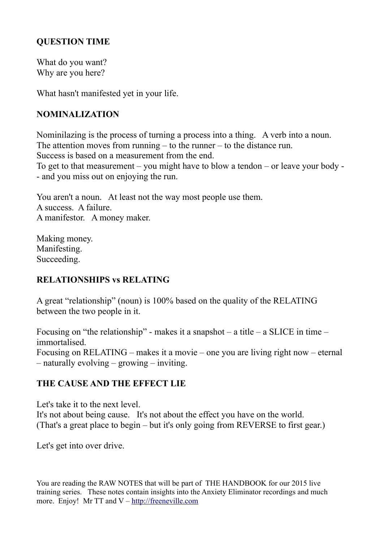## **QUESTION TIME**

What do you want? Why are you here?

What hasn't manifested yet in your life.

# **NOMINALIZATION**

Nominilazing is the process of turning a process into a thing. A verb into a noun. The attention moves from running  $-$  to the runner  $-$  to the distance run. Success is based on a measurement from the end. To get to that measurement – you might have to blow a tendon – or leave your body - - and you miss out on enjoying the run.

You aren't a noun. At least not the way most people use them. A success. A failure. A manifestor. A money maker.

Making money. Manifesting. Succeeding.

# **RELATIONSHIPS vs RELATING**

A great "relationship" (noun) is 100% based on the quality of the RELATING between the two people in it.

Focusing on "the relationship" - makes it a snapshot – a title – a SLICE in time – immortalised. Focusing on RELATING – makes it a movie – one you are living right now – eternal – naturally evolving – growing – inviting.

## **THE CAUSE AND THE EFFECT LIE**

Let's take it to the next level. It's not about being cause. It's not about the effect you have on the world. (That's a great place to begin – but it's only going from REVERSE to first gear.)

Let's get into over drive.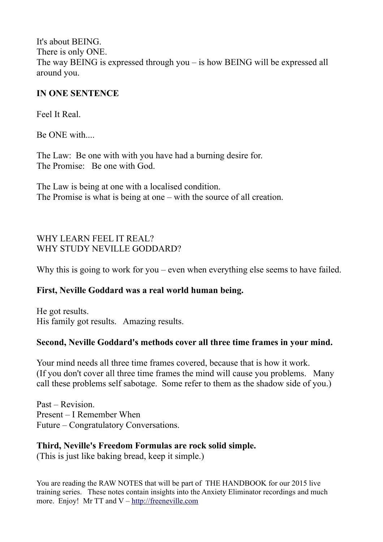It's about BEING. There is only ONE. The way BEING is expressed through you – is how BEING will be expressed all around you.

## **IN ONE SENTENCE**

Feel It Real.

Be ONE with....

The Law: Be one with with you have had a burning desire for. The Promise: Be one with God.

The Law is being at one with a localised condition. The Promise is what is being at one – with the source of all creation.

# WHY LEARN FEEL IT REAL? WHY STUDY NEVILLE GODDARD?

Why this is going to work for you – even when everything else seems to have failed.

## **First, Neville Goddard was a real world human being.**

He got results. His family got results. Amazing results.

# **Second, Neville Goddard's methods cover all three time frames in your mind.**

Your mind needs all three time frames covered, because that is how it work. (If you don't cover all three time frames the mind will cause you problems. Many call these problems self sabotage. Some refer to them as the shadow side of you.)

Past – Revision. Present – I Remember When Future – Congratulatory Conversations.

# **Third, Neville's Freedom Formulas are rock solid simple.**

(This is just like baking bread, keep it simple.)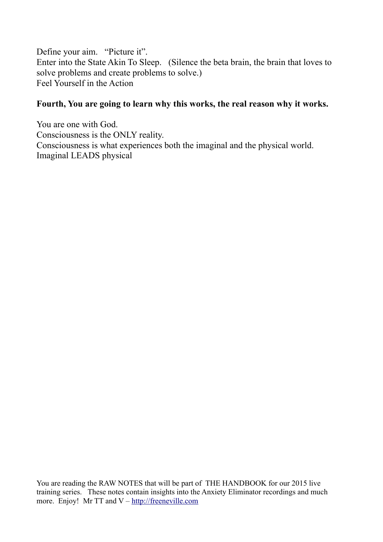Define your aim. "Picture it". Enter into the State Akin To Sleep. (Silence the beta brain, the brain that loves to solve problems and create problems to solve.) Feel Yourself in the Action

### **Fourth, You are going to learn why this works, the real reason why it works.**

You are one with God. Consciousness is the ONLY reality. Consciousness is what experiences both the imaginal and the physical world. Imaginal LEADS physical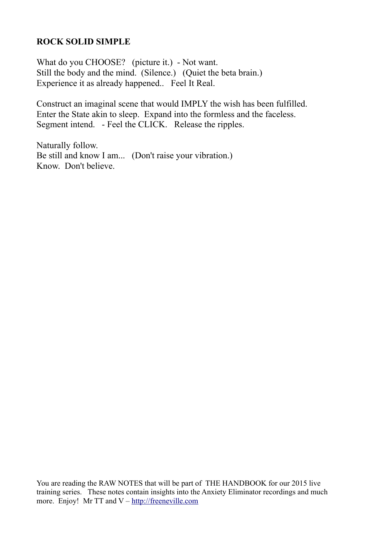### **ROCK SOLID SIMPLE**

What do you CHOOSE? (picture it.) - Not want. Still the body and the mind. (Silence.) (Quiet the beta brain.) Experience it as already happened.. Feel It Real.

Construct an imaginal scene that would IMPLY the wish has been fulfilled. Enter the State akin to sleep. Expand into the formless and the faceless. Segment intend. - Feel the CLICK. Release the ripples.

Naturally follow. Be still and know I am... (Don't raise your vibration.) Know. Don't believe.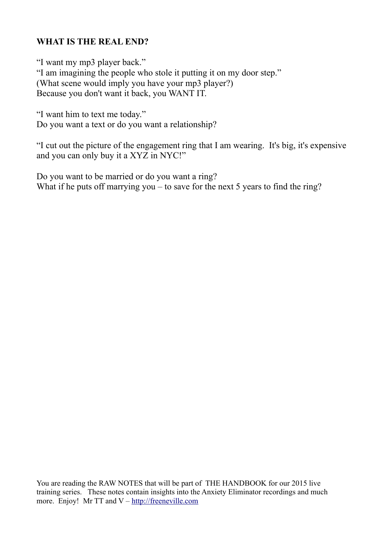# **WHAT IS THE REAL END?**

"I want my mp3 player back." "I am imagining the people who stole it putting it on my door step." (What scene would imply you have your mp3 player?) Because you don't want it back, you WANT IT.

"I want him to text me today." Do you want a text or do you want a relationship?

"I cut out the picture of the engagement ring that I am wearing. It's big, it's expensive and you can only buy it a XYZ in NYC!"

Do you want to be married or do you want a ring? What if he puts off marrying you – to save for the next 5 years to find the ring?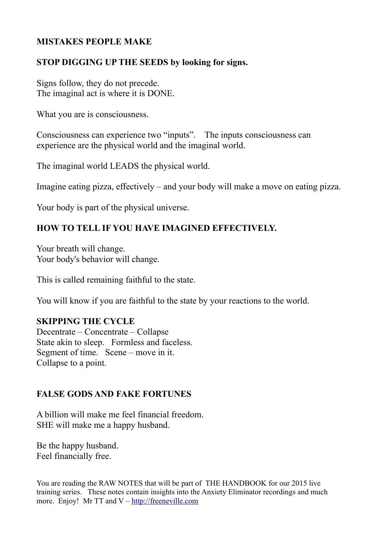## **MISTAKES PEOPLE MAKE**

### **STOP DIGGING UP THE SEEDS by looking for signs.**

Signs follow, they do not precede. The imaginal act is where it is DONE.

What you are is consciousness.

Consciousness can experience two "inputs". The inputs consciousness can experience are the physical world and the imaginal world.

The imaginal world LEADS the physical world.

Imagine eating pizza, effectively – and your body will make a move on eating pizza.

Your body is part of the physical universe.

## **HOW TO TELL IF YOU HAVE IMAGINED EFFECTIVELY.**

Your breath will change. Your body's behavior will change.

This is called remaining faithful to the state.

You will know if you are faithful to the state by your reactions to the world.

#### **SKIPPING THE CYCLE**

Decentrate – Concentrate – Collapse State akin to sleep. Formless and faceless. Segment of time. Scene – move in it. Collapse to a point.

#### **FALSE GODS AND FAKE FORTUNES**

A billion will make me feel financial freedom. SHE will make me a happy husband.

Be the happy husband. Feel financially free.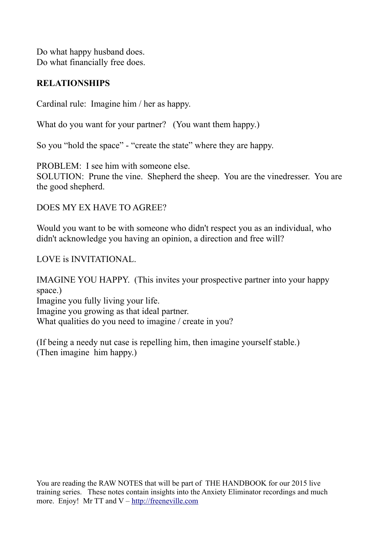Do what happy husband does. Do what financially free does.

### **RELATIONSHIPS**

Cardinal rule: Imagine him / her as happy.

What do you want for your partner? (You want them happy.)

So you "hold the space" - "create the state" where they are happy.

PROBLEM: I see him with someone else.

SOLUTION: Prune the vine. Shepherd the sheep. You are the vinedresser. You are the good shepherd.

### DOES MY EX HAVE TO AGREE?

Would you want to be with someone who didn't respect you as an individual, who didn't acknowledge you having an opinion, a direction and free will?

LOVE is INVITATIONAL.

IMAGINE YOU HAPPY. (This invites your prospective partner into your happy space.) Imagine you fully living your life. Imagine you growing as that ideal partner. What qualities do you need to imagine / create in you?

(If being a needy nut case is repelling him, then imagine yourself stable.) (Then imagine him happy.)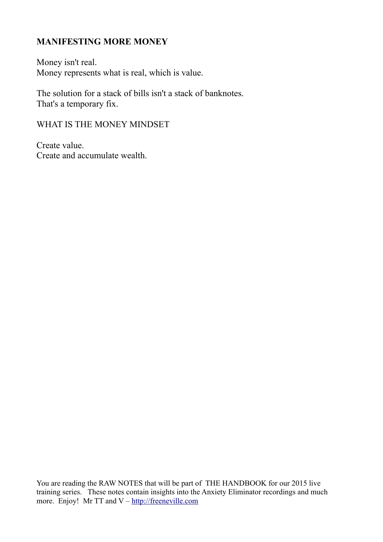## **MANIFESTING MORE MONEY**

Money isn't real. Money represents what is real, which is value.

The solution for a stack of bills isn't a stack of banknotes. That's a temporary fix.

WHAT IS THE MONEY MINDSET

Create value. Create and accumulate wealth.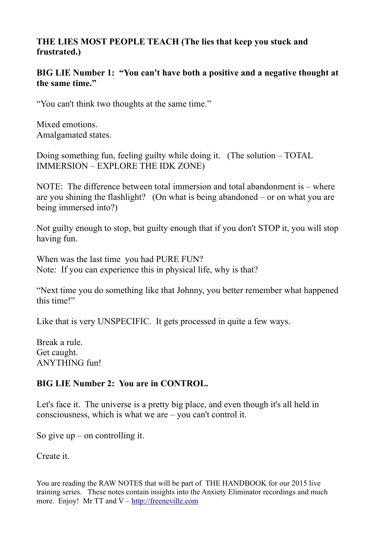## **THE LIES MOST PEOPLE TEACH (The lies that keep you stuck and frustrated.)**

### **BIG LIE Number 1: "You can't have both a positive and a negative thought at the same time."**

"You can't think two thoughts at the same time."

Mixed emotions. Amalgamated states.

Doing something fun, feeling guilty while doing it. (The solution – TOTAL IMMERSION – EXPLORE THE IDK ZONE)

NOTE: The difference between total immersion and total abandonment is – where are you shining the flashlight? (On what is being abandoned – or on what you are being immersed into?)

Not guilty enough to stop, but guilty enough that if you don't STOP it, you will stop having fun.

When was the last time you had PURE FUN? Note: If you can experience this in physical life, why is that?

"Next time you do something like that Johnny, you better remember what happened this time!"

Like that is very UNSPECIFIC. It gets processed in quite a few ways.

Break a rule. Get caught. ANYTHING fun!

## **BIG LIE Number 2: You are in CONTROL.**

Let's face it. The universe is a pretty big place, and even though it's all held in consciousness, which is what we are – you can't control it.

So give  $up$  – on controlling it.

Create it.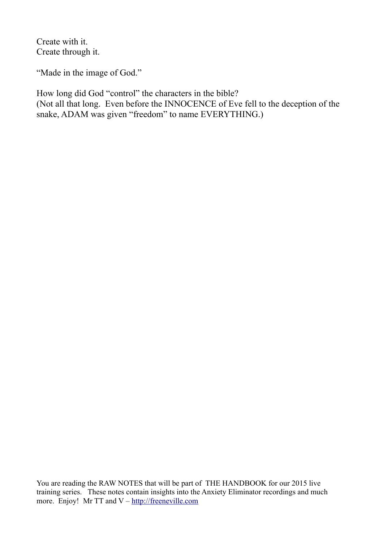Create with it. Create through it.

"Made in the image of God."

How long did God "control" the characters in the bible? (Not all that long. Even before the INNOCENCE of Eve fell to the deception of the snake, ADAM was given "freedom" to name EVERYTHING.)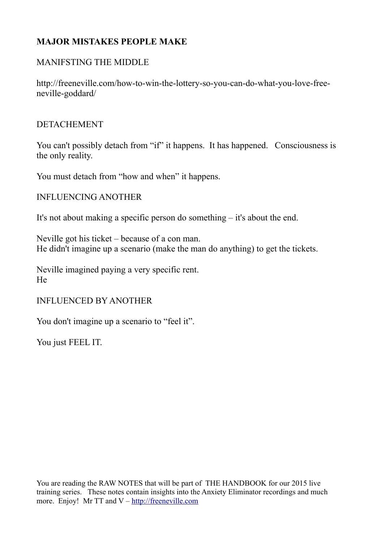# **MAJOR MISTAKES PEOPLE MAKE**

### MANIFSTING THE MIDDLE

http://freeneville.com/how-to-win-the-lottery-so-you-can-do-what-you-love-freeneville-goddard/

#### DETACHEMENT

You can't possibly detach from "if" it happens. It has happened. Consciousness is the only reality.

You must detach from "how and when" it happens.

#### INFLUENCING ANOTHER

It's not about making a specific person do something – it's about the end.

Neville got his ticket – because of a con man. He didn't imagine up a scenario (make the man do anything) to get the tickets.

Neville imagined paying a very specific rent. He

#### INFLUENCED BY ANOTHER

You don't imagine up a scenario to "feel it".

You just FEEL IT.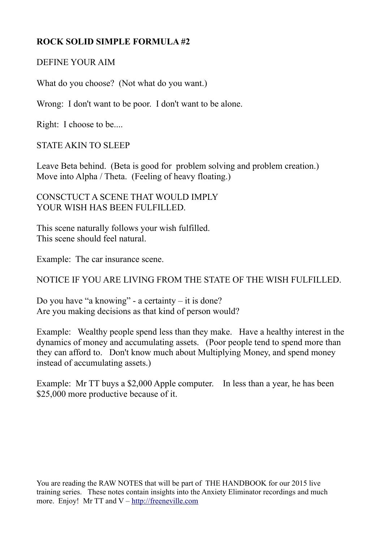# **ROCK SOLID SIMPLE FORMULA #2**

### DEFINE YOUR AIM

What do you choose? (Not what do you want.)

Wrong: I don't want to be poor. I don't want to be alone.

Right: I choose to be....

STATE AKIN TO SLEEP

Leave Beta behind. (Beta is good for problem solving and problem creation.) Move into Alpha / Theta. (Feeling of heavy floating.)

### CONSCTUCT A SCENE THAT WOULD IMPLY YOUR WISH HAS BEEN FULFILLED.

This scene naturally follows your wish fulfilled. This scene should feel natural.

Example: The car insurance scene.

NOTICE IF YOU ARE LIVING FROM THE STATE OF THE WISH FULFILLED.

Do you have "a knowing" - a certainty – it is done? Are you making decisions as that kind of person would?

Example: Wealthy people spend less than they make. Have a healthy interest in the dynamics of money and accumulating assets. (Poor people tend to spend more than they can afford to. Don't know much about Multiplying Money, and spend money instead of accumulating assets.)

Example: Mr TT buys a \$2,000 Apple computer. In less than a year, he has been \$25,000 more productive because of it.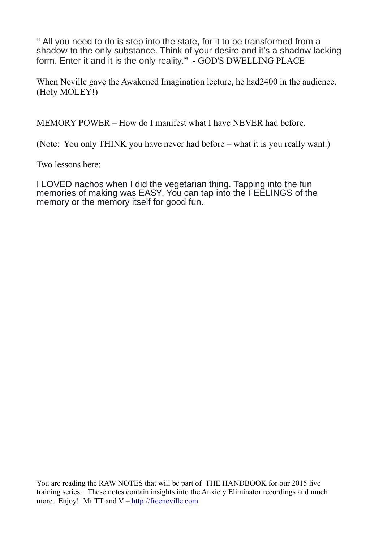" All you need to do is step into the state, for it to be transformed from a shadow to the only substance. Think of your desire and it's a shadow lacking form. Enter it and it is the only reality." - GOD'S DWELLING PLACE

When Neville gave the Awakened Imagination lecture, he had2400 in the audience. (Holy MOLEY!)

MEMORY POWER – How do I manifest what I have NEVER had before.

(Note: You only THINK you have never had before – what it is you really want.)

Two lessons here:

I LOVED nachos when I did the vegetarian thing. Tapping into the fun memories of making was EASY. You can tap into the FEELINGS of the memory or the memory itself for good fun.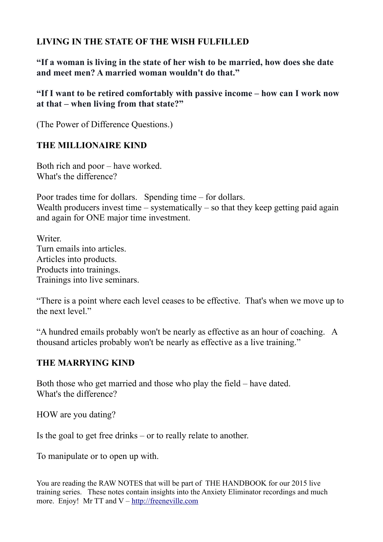## **LIVING IN THE STATE OF THE WISH FULFILLED**

**"If a woman is living in the state of her wish to be married, how does she date and meet men? A married woman wouldn't do that."**

**"If I want to be retired comfortably with passive income – how can I work now at that – when living from that state?"**

(The Power of Difference Questions.)

# **THE MILLIONAIRE KIND**

Both rich and poor – have worked. What's the difference?

Poor trades time for dollars. Spending time – for dollars. Wealth producers invest time – systematically – so that they keep getting paid again and again for ONE major time investment.

**Writer** Turn emails into articles. Articles into products. Products into trainings. Trainings into live seminars.

"There is a point where each level ceases to be effective. That's when we move up to the next level."

"A hundred emails probably won't be nearly as effective as an hour of coaching. A thousand articles probably won't be nearly as effective as a live training."

## **THE MARRYING KIND**

Both those who get married and those who play the field – have dated. What's the difference?

HOW are you dating?

Is the goal to get free drinks – or to really relate to another.

To manipulate or to open up with.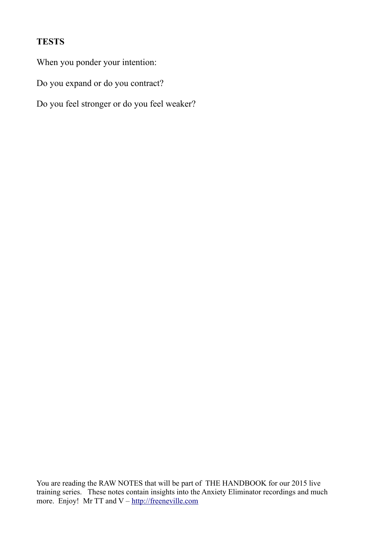# **TESTS**

When you ponder your intention:

Do you expand or do you contract?

Do you feel stronger or do you feel weaker?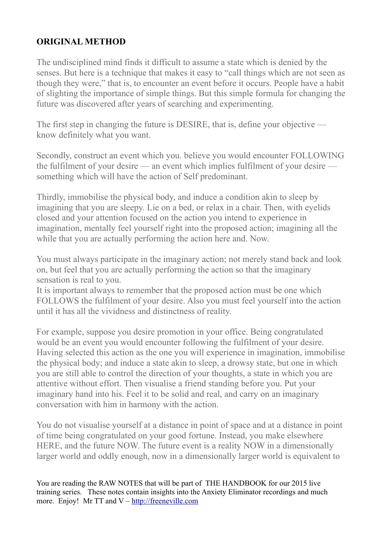# **ORIGINAL METHOD**

The undisciplined mind finds it difficult to assume a state which is denied by the senses. But here is a technique that makes it easy to "call things which are not seen as though they were," that is, to encounter an event before it occurs. People have a habit of slighting the importance of simple things. But this simple formula for changing the future was discovered after years of searching and experimenting.

The first step in changing the future is DESIRE, that is, define your objective know definitely what you want.

Secondly, construct an event which you. believe you would encounter FOLLOWING the fulfilment of your desire — an event which implies fulfilment of your desire something which will have the action of Self predominant.

Thirdly, immobilise the physical body, and induce a condition akin to sleep by imagining that you are sleepy. Lie on a bed, or relax in a chair. Then, with eyelids closed and your attention focused on the action you intend to experience in imagination, mentally feel yourself right into the proposed action; imagining all the while that you are actually performing the action here and. Now.

You must always participate in the imaginary action; not merely stand back and look on, but feel that you are actually performing the action so that the imaginary sensation is real to you.

It is important always to remember that the proposed action must be one which FOLLOWS the fulfilment of your desire. Also you must feel yourself into the action until it has all the vividness and distinctness of reality.

For example, suppose you desire promotion in your office. Being congratulated would be an event you would encounter following the fulfilment of your desire. Having selected this action as the one you will experience in imagination, immobilise the physical body; and induce a state akin to sleep, a drowsy state, but one in which you are still able to control the direction of your thoughts, a state in which you are attentive without effort. Then visualise a friend standing before you. Put your imaginary hand into his. Feel it to be solid and real, and carry on an imaginary conversation with him in harmony with the action.

You do not visualise yourself at a distance in point of space and at a distance in point of time being congratulated on your good fortune. Instead, you make elsewhere HERE, and the future NOW. The future event is a reality NOW in a dimensionally larger world and oddly enough, now in a dimensionally larger world is equivalent to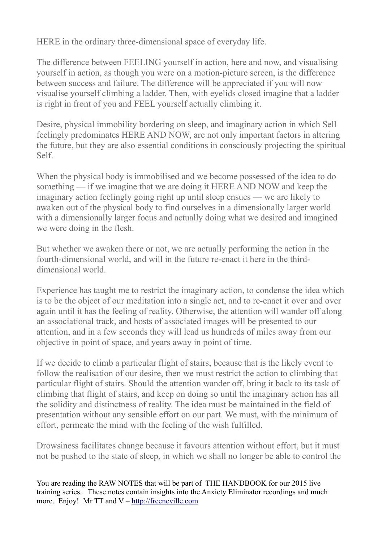HERE in the ordinary three-dimensional space of everyday life.

The difference between FEELING yourself in action, here and now, and visualising yourself in action, as though you were on a motion-picture screen, is the difference between success and failure. The difference will be appreciated if you will now visualise yourself climbing a ladder. Then, with eyelids closed imagine that a ladder is right in front of you and FEEL yourself actually climbing it.

Desire, physical immobility bordering on sleep, and imaginary action in which Sell feelingly predominates HERE AND NOW, are not only important factors in altering the future, but they are also essential conditions in consciously projecting the spiritual Self.

When the physical body is immobilised and we become possessed of the idea to do something — if we imagine that we are doing it HERE AND NOW and keep the imaginary action feelingly going right up until sleep ensues — we are likely to awaken out of the physical body to find ourselves in a dimensionally larger world with a dimensionally larger focus and actually doing what we desired and imagined we were doing in the flesh.

But whether we awaken there or not, we are actually performing the action in the fourth-dimensional world, and will in the future re-enact it here in the thirddimensional world.

Experience has taught me to restrict the imaginary action, to condense the idea which is to be the object of our meditation into a single act, and to re-enact it over and over again until it has the feeling of reality. Otherwise, the attention will wander off along an associational track, and hosts of associated images will be presented to our attention, and in a few seconds they will lead us hundreds of miles away from our objective in point of space, and years away in point of time.

If we decide to climb a particular flight of stairs, because that is the likely event to follow the realisation of our desire, then we must restrict the action to climbing that particular flight of stairs. Should the attention wander off, bring it back to its task of climbing that flight of stairs, and keep on doing so until the imaginary action has all the solidity and distinctness of reality. The idea must be maintained in the field of presentation without any sensible effort on our part. We must, with the minimum of effort, permeate the mind with the feeling of the wish fulfilled.

Drowsiness facilitates change because it favours attention without effort, but it must not be pushed to the state of sleep, in which we shall no longer be able to control the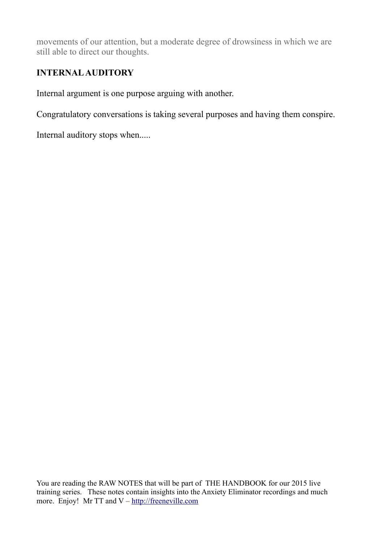movements of our attention, but a moderate degree of drowsiness in which we are still able to direct our thoughts.

# **INTERNAL AUDITORY**

Internal argument is one purpose arguing with another.

Congratulatory conversations is taking several purposes and having them conspire.

Internal auditory stops when.....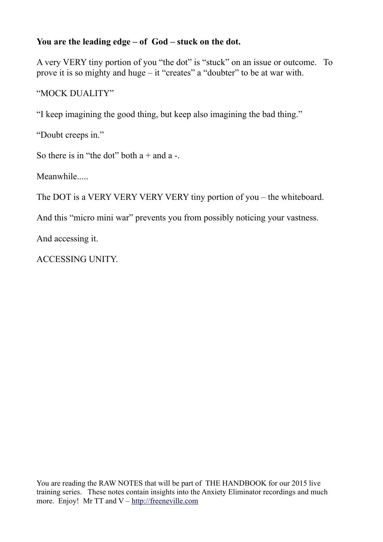## **You are the leading edge – of God – stuck on the dot.**

A very VERY tiny portion of you "the dot" is "stuck" on an issue or outcome. To prove it is so mighty and huge – it "creates" a "doubter" to be at war with.

# "MOCK DUALITY"

"I keep imagining the good thing, but keep also imagining the bad thing."

"Doubt creeps in."

So there is in "the dot" both  $a +$  and  $a -$ .

Meanwhile.....

The DOT is a VERY VERY VERY VERY tiny portion of you – the whiteboard.

And this "micro mini war" prevents you from possibly noticing your vastness.

And accessing it.

ACCESSING UNITY.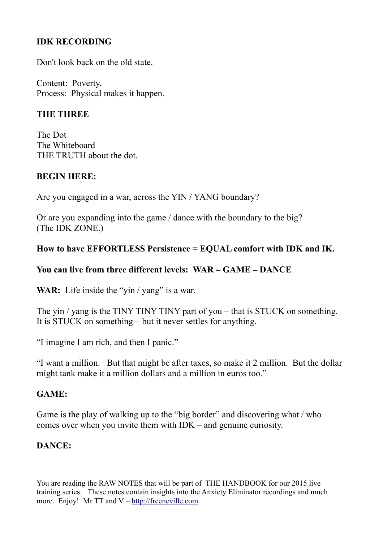# **IDK RECORDING**

Don't look back on the old state.

Content: Poverty. Process: Physical makes it happen.

### **THE THREE**

The Dot The Whiteboard THE TRUTH about the dot.

#### **BEGIN HERE:**

Are you engaged in a war, across the YIN / YANG boundary?

Or are you expanding into the game / dance with the boundary to the big? (The IDK ZONE.)

#### **How to have EFFORTLESS Persistence = EQUAL comfort with IDK and IK.**

### **You can live from three different levels: WAR – GAME – DANCE**

**WAR:** Life inside the "yin / yang" is a war.

The yin / yang is the TINY TINY TINY part of you – that is STUCK on something. It is STUCK on something – but it never settles for anything.

"I imagine I am rich, and then I panic."

"I want a million. But that might be after taxes, so make it 2 million. But the dollar might tank make it a million dollars and a million in euros too."

#### **GAME:**

Game is the play of walking up to the "big border" and discovering what / who comes over when you invite them with IDK – and genuine curiosity.

#### **DANCE:**